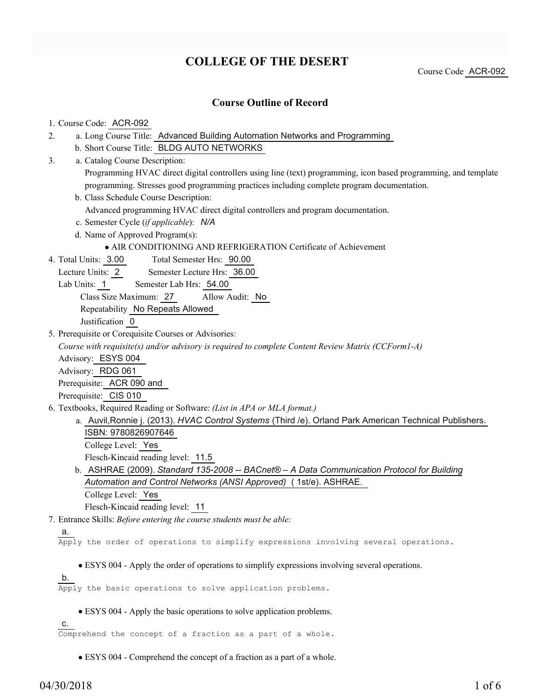# **COLLEGE OF THE DESERT**

Course Code ACR-092

# **Course Outline of Record**

| 1. Course Code: ACR-092                                                                                         |
|-----------------------------------------------------------------------------------------------------------------|
| a. Long Course Title: Advanced Building Automation Networks and Programming<br>2.                               |
| b. Short Course Title: BLDG AUTO NETWORKS                                                                       |
| a. Catalog Course Description:<br>3.                                                                            |
| Programming HVAC direct digital controllers using line (text) programming, icon based programming, and template |
| programming. Stresses good programming practices including complete program documentation.                      |
| b. Class Schedule Course Description:                                                                           |
| Advanced programming HVAC direct digital controllers and program documentation.                                 |
| c. Semester Cycle (if applicable): N/A                                                                          |
| d. Name of Approved Program(s):                                                                                 |
| • AIR CONDITIONING AND REFRIGERATION Certificate of Achievement                                                 |
| 4. Total Units: 3.00<br>Total Semester Hrs: 90.00                                                               |
| Lecture Units: 2<br>Semester Lecture Hrs: 36.00                                                                 |
| Lab Units: 1<br>Semester Lab Hrs: 54.00                                                                         |
| Class Size Maximum: 27<br>Allow Audit: No                                                                       |
| Repeatability No Repeats Allowed                                                                                |
| Justification 0                                                                                                 |
| 5. Prerequisite or Corequisite Courses or Advisories:                                                           |
| Course with requisite(s) and/or advisory is required to complete Content Review Matrix (CCForm1-A)              |
| Advisory: ESYS 004                                                                                              |
| Advisory: RDG 061                                                                                               |
| Prerequisite: ACR 090 and                                                                                       |
| Prerequisite: CIS 010                                                                                           |
| 6. Textbooks, Required Reading or Software: (List in APA or MLA format.)                                        |
| a. Auvil, Ronnie j. (2013). HVAC Control Systems (Third /e). Orland Park American Technical Publishers.         |
| ISBN: 9780826907646                                                                                             |
| College Level: Yes                                                                                              |
| Flesch-Kincaid reading level: 11.5                                                                              |
| b. ASHRAE (2009). Standard 135-2008 -- BACnet® - A Data Communication Protocol for Building                     |
| Automation and Control Networks (ANSI Approved) (1st/e). ASHRAE.                                                |
| College Level: Yes                                                                                              |
| Flesch-Kincaid reading level: 11                                                                                |
| 7. Entrance Skills: Before entering the course students must be able:                                           |
| а.                                                                                                              |
| Apply the order of operations to simplify expressions involving several operations.                             |
| • ESYS 004 - Apply the order of operations to simplify expressions involving several operations.                |
| <u>b.</u>                                                                                                       |
| Apply the basic operations to solve application problems.                                                       |
|                                                                                                                 |
| • ESYS 004 - Apply the basic operations to solve application problems.                                          |
| C.                                                                                                              |

Comprehend the concept of a fraction as a part of a whole.

ESYS 004 - Comprehend the concept of a fraction as a part of a whole.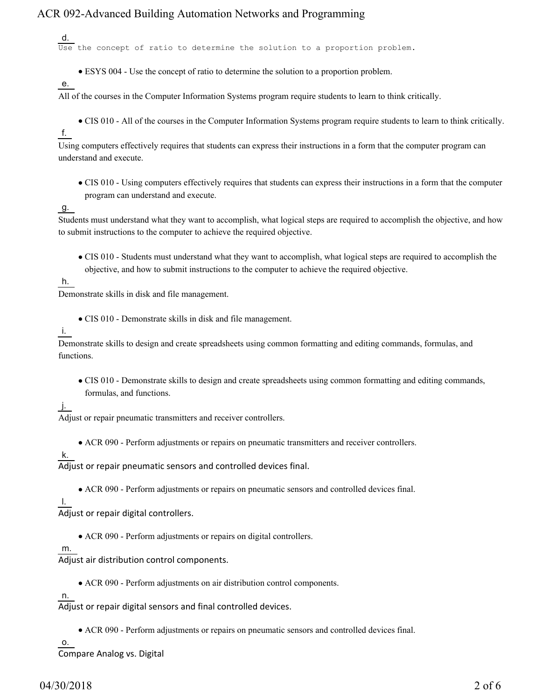d.

Use the concept of ratio to determine the solution to a proportion problem.

- ESYS 004 Use the concept of ratio to determine the solution to a proportion problem.
- e.

All of the courses in the Computer Information Systems program require students to learn to think critically.

CIS 010 - All of the courses in the Computer Information Systems program require students to learn to think critically.

f.

Using computers effectively requires that students can express their instructions in a form that the computer program can understand and execute.

CIS 010 - Using computers effectively requires that students can express their instructions in a form that the computer program can understand and execute.

### g.

Students must understand what they want to accomplish, what logical steps are required to accomplish the objective, and how to submit instructions to the computer to achieve the required objective.

CIS 010 - Students must understand what they want to accomplish, what logical steps are required to accomplish the objective, and how to submit instructions to the computer to achieve the required objective.

h.

Demonstrate skills in disk and file management.

- CIS 010 Demonstrate skills in disk and file management.
- i.

Demonstrate skills to design and create spreadsheets using common formatting and editing commands, formulas, and functions.

CIS 010 - Demonstrate skills to design and create spreadsheets using common formatting and editing commands, formulas, and functions.

### j.

Adjust or repair pneumatic transmitters and receiver controllers.

ACR 090 - Perform adjustments or repairs on pneumatic transmitters and receiver controllers.

### k.

Adjust or repair pneumatic sensors and controlled devices final.

ACR 090 - Perform adjustments or repairs on pneumatic sensors and controlled devices final.

#### l.

Adjust or repair digital controllers.

ACR 090 - Perform adjustments or repairs on digital controllers.

#### m.

Adjust air distribution control components.

ACR 090 - Perform adjustments on air distribution control components.

### n.

Adjust or repair digital sensors and final controlled devices.

ACR 090 - Perform adjustments or repairs on pneumatic sensors and controlled devices final.

o.

Compare Analog vs. Digital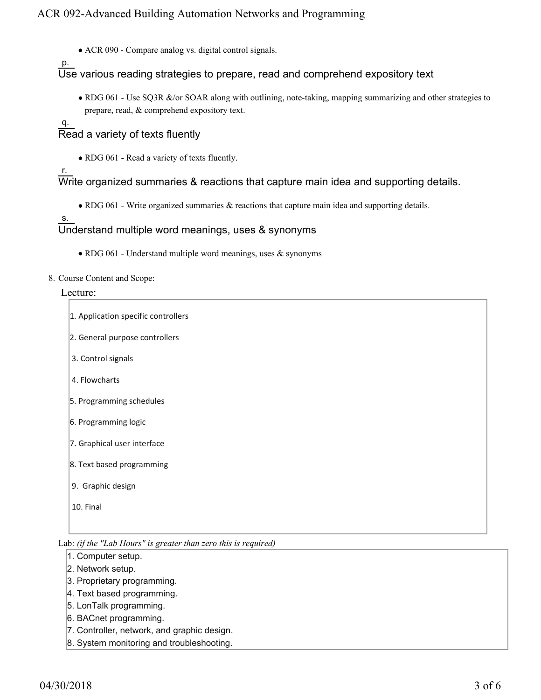ACR 090 - Compare analog vs. digital control signals.

p.

Use various reading strategies to prepare, read and comprehend expository text

• RDG 061 - Use SQ3R &/or SOAR along with outlining, note-taking, mapping summarizing and other strategies to prepare, read, & comprehend expository text.

q. Read a variety of texts fluently

• RDG 061 - Read a variety of texts fluently.

r.

Write organized summaries & reactions that capture main idea and supporting details.

RDG 061 - Write organized summaries & reactions that capture main idea and supporting details.

s.

## Understand multiple word meanings, uses & synonyms

• RDG 061 - Understand multiple word meanings, uses & synonyms

8. Course Content and Scope:

#### Lecture:

| 1. Application specific controllers |  |  |  |  |  |
|-------------------------------------|--|--|--|--|--|
| 2. General purpose controllers      |  |  |  |  |  |
| 3. Control signals                  |  |  |  |  |  |
| 4. Flowcharts                       |  |  |  |  |  |
| 5. Programming schedules            |  |  |  |  |  |
| 6. Programming logic                |  |  |  |  |  |
| 7. Graphical user interface         |  |  |  |  |  |
| 8. Text based programming           |  |  |  |  |  |
| 9. Graphic design                   |  |  |  |  |  |
| 10. Final                           |  |  |  |  |  |

Lab: *(if the "Lab Hours" is greater than zero this is required)*

- 1. Computer setup.
- 2. Network setup.
- 3. Proprietary programming.
- 4. Text based programming.
- 5. LonTalk programming.
- 6. BACnet programming.
- 7. Controller, network, and graphic design.
- 8. System monitoring and troubleshooting.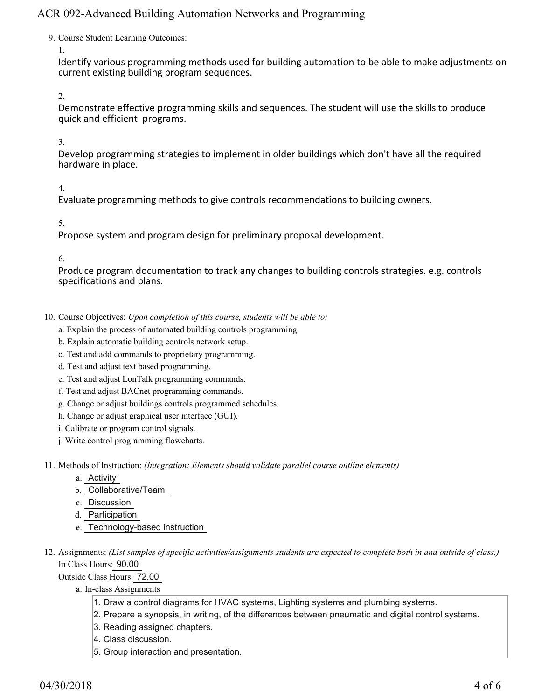9. Course Student Learning Outcomes:

1.

Identify various programming methods used for building automation to be able to make adjustments on current existing building program sequences.

2.

Demonstrate effective programming skills and sequences. The student will use the skills to produce quick and efficient programs.

3.

Develop programming strategies to implement in older buildings which don't have all the required hardware in place.

4.

Evaluate programming methods to give controls recommendations to building owners.

5.

Propose system and program design for preliminary proposal development.

6.

Produce program documentation to track any changes to building controls strategies. e.g. controls specifications and plans.

- 10. Course Objectives: Upon completion of this course, students will be able to:
	- a. Explain the process of automated building controls programming.
	- b. Explain automatic building controls network setup.
	- c. Test and add commands to proprietary programming.
	- d. Test and adjust text based programming.
	- e. Test and adjust LonTalk programming commands.
	- f. Test and adjust BACnet programming commands.
	- g. Change or adjust buildings controls programmed schedules.
	- h. Change or adjust graphical user interface (GUI).
	- i. Calibrate or program control signals.
	- j. Write control programming flowcharts.
- Methods of Instruction: *(Integration: Elements should validate parallel course outline elements)* 11.
	- a. Activity
	- b. Collaborative/Team
	- c. Discussion
	- d. Participation
	- e. Technology-based instruction
- 12. Assignments: (List samples of specific activities/assignments students are expected to complete both in and outside of class.) In Class Hours: 90.00
	- Outside Class Hours: 72.00
		- a. In-class Assignments
			- 1. Draw a control diagrams for HVAC systems, Lighting systems and plumbing systems.
			- 2. Prepare a synopsis, in writing, of the differences between pneumatic and digital control systems.
			- 3. Reading assigned chapters.
			- 4. Class discussion.
			- 5. Group interaction and presentation.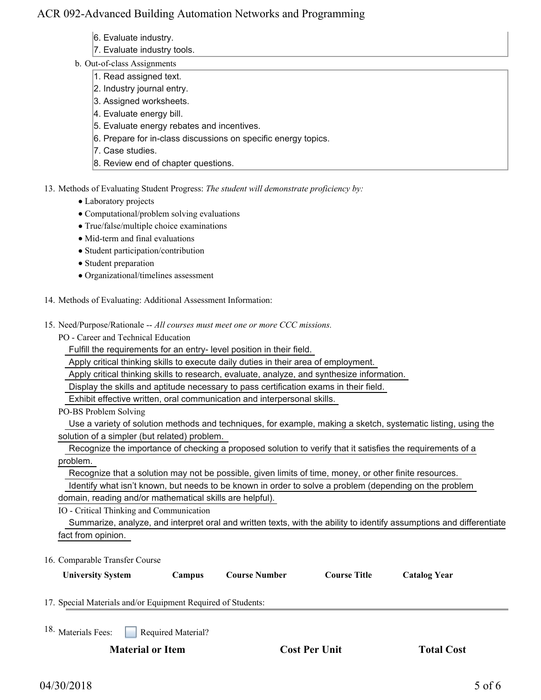- 6. Evaluate industry.
- 7. Evaluate industry tools.
- b. Out-of-class Assignments
	- 1. Read assigned text.
	- 2. Industry journal entry.
	- 3. Assigned worksheets.
	- 4. Evaluate energy bill.
	- 5. Evaluate energy rebates and incentives.
	- 6. Prepare for in-class discussions on specific energy topics.
	- 7. Case studies.
	- 8. Review end of chapter questions.
- 13. Methods of Evaluating Student Progress: The student will demonstrate proficiency by:
	- Laboratory projects
	- Computational/problem solving evaluations
	- True/false/multiple choice examinations
	- Mid-term and final evaluations
	- Student participation/contribution
	- Student preparation
	- Organizational/timelines assessment
- 14. Methods of Evaluating: Additional Assessment Information:
- 15. Need/Purpose/Rationale -- All courses must meet one or more CCC missions.

PO - Career and Technical Education

Fulfill the requirements for an entry- level position in their field.

Apply critical thinking skills to execute daily duties in their area of employment.

Apply critical thinking skills to research, evaluate, analyze, and synthesize information.

Display the skills and aptitude necessary to pass certification exams in their field.

Exhibit effective written, oral communication and interpersonal skills.

PO-BS Problem Solving

 Use a variety of solution methods and techniques, for example, making a sketch, systematic listing, using the solution of a simpler (but related) problem.

 Recognize the importance of checking a proposed solution to verify that it satisfies the requirements of a problem.

Recognize that a solution may not be possible, given limits of time, money, or other finite resources.

 Identify what isn't known, but needs to be known in order to solve a problem (depending on the problem domain, reading and/or mathematical skills are helpful).

IO - Critical Thinking and Communication

 Summarize, analyze, and interpret oral and written texts, with the ability to identify assumptions and differentiate fact from opinion.

16. Comparable Transfer Course

| <b>University System</b>                                     | <b>Campus</b>      | <b>Course Number</b> | <b>Course Title</b> | <b>Catalog Year</b> |  |  |
|--------------------------------------------------------------|--------------------|----------------------|---------------------|---------------------|--|--|
| 17. Special Materials and/or Equipment Required of Students: |                    |                      |                     |                     |  |  |
| 18. Materials Fees:                                          | Required Material? |                      |                     |                     |  |  |

**Material or Item Cost Per Unit Total Cost Cost Per Unit Cost**